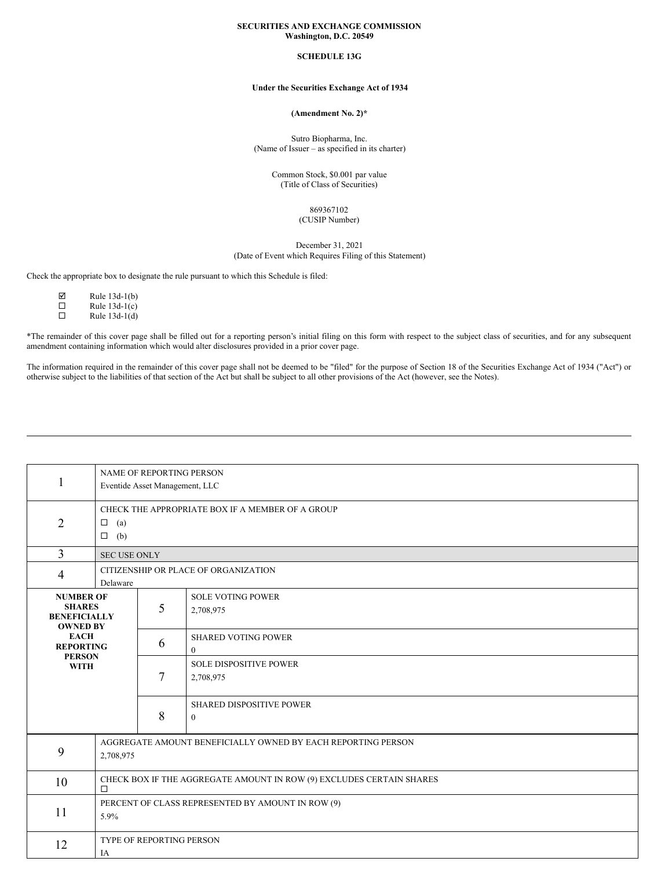### **SECURITIES AND EXCHANGE COMMISSION Washington, D.C. 20549**

## **SCHEDULE 13G**

# **Under the Securities Exchange Act of 1934**

### **(Amendment No. 2)\***

Sutro Biopharma, Inc. (Name of Issuer – as specified in its charter)

> Common Stock, \$0.001 par value (Title of Class of Securities)

> > 869367102 (CUSIP Number)

December 31, 2021 (Date of Event which Requires Filing of this Statement)

Check the appropriate box to designate the rule pursuant to which this Schedule is filed:

| 罓 | Rule 13d-1(b)   |
|---|-----------------|
| П | Rule $13d-1(c)$ |
| П | Rule $13d-1(d)$ |

\*The remainder of this cover page shall be filled out for a reporting person's initial filing on this form with respect to the subject class of securities, and for any subsequent amendment containing information which would alter disclosures provided in a prior cover page.

The information required in the remainder of this cover page shall not be deemed to be "filed" for the purpose of Section 18 of the Securities Exchange Act of 1934 ("Act") or otherwise subject to the liabilities of that section of the Act but shall be subject to all other provisions of the Act (however, see the Notes).

| $\mathbf{1}$                                                                     | NAME OF REPORTING PERSON<br>Eventide Asset Management, LLC                     |   |                                                 |  |
|----------------------------------------------------------------------------------|--------------------------------------------------------------------------------|---|-------------------------------------------------|--|
| $\overline{2}$                                                                   | CHECK THE APPROPRIATE BOX IF A MEMBER OF A GROUP<br>$\Box$ (a)<br>$\Box$ (b)   |   |                                                 |  |
| 3                                                                                | <b>SEC USE ONLY</b>                                                            |   |                                                 |  |
| 4                                                                                | CITIZENSHIP OR PLACE OF ORGANIZATION<br>Delaware                               |   |                                                 |  |
| <b>NUMBER OF</b><br><b>SHARES</b><br>5<br><b>BENEFICIALLY</b><br><b>OWNED BY</b> |                                                                                |   | <b>SOLE VOTING POWER</b><br>2,708,975           |  |
| <b>EACH</b><br><b>REPORTING</b><br><b>PERSON</b><br><b>WITH</b>                  |                                                                                | 6 | <b>SHARED VOTING POWER</b><br>$\mathbf{0}$      |  |
|                                                                                  |                                                                                | 7 | <b>SOLE DISPOSITIVE POWER</b><br>2,708,975      |  |
|                                                                                  |                                                                                | 8 | <b>SHARED DISPOSITIVE POWER</b><br>$\mathbf{0}$ |  |
| 9                                                                                | AGGREGATE AMOUNT BENEFICIALLY OWNED BY EACH REPORTING PERSON<br>2,708,975      |   |                                                 |  |
| 10                                                                               | CHECK BOX IF THE AGGREGATE AMOUNT IN ROW (9) EXCLUDES CERTAIN SHARES<br>$\Box$ |   |                                                 |  |
| 11                                                                               | PERCENT OF CLASS REPRESENTED BY AMOUNT IN ROW (9)<br>5.9%                      |   |                                                 |  |
| 12                                                                               | TYPE OF REPORTING PERSON<br>IA                                                 |   |                                                 |  |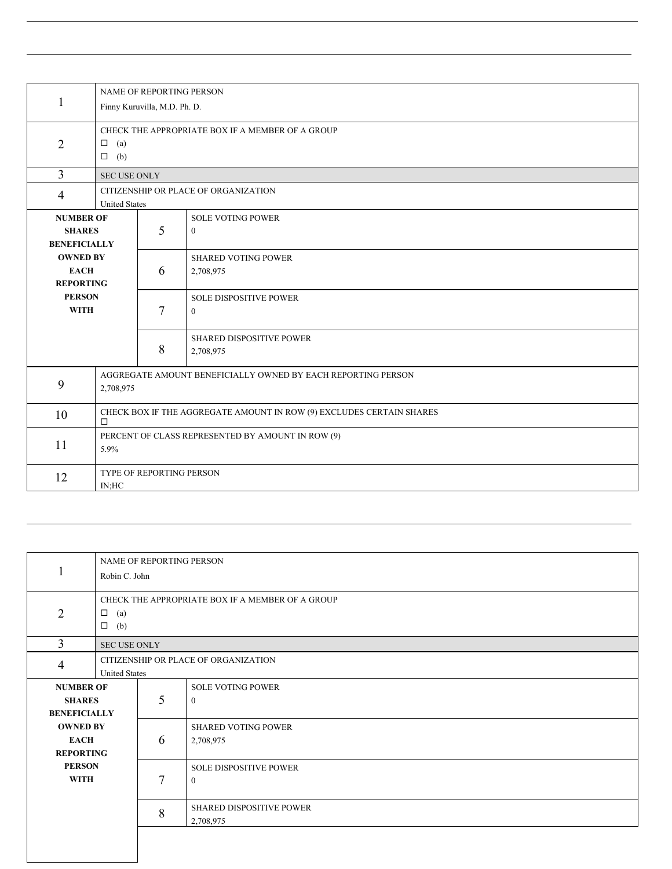|                                |                                                                                |                                                  | <b>NAME OF REPORTING PERSON</b>         |  |  |
|--------------------------------|--------------------------------------------------------------------------------|--------------------------------------------------|-----------------------------------------|--|--|
| 1                              | Finny Kuruvilla, M.D. Ph. D.                                                   |                                                  |                                         |  |  |
|                                |                                                                                |                                                  |                                         |  |  |
| $\overline{2}$                 | $\Box$<br>(a)                                                                  | CHECK THE APPROPRIATE BOX IF A MEMBER OF A GROUP |                                         |  |  |
|                                | $\Box$ (b)                                                                     |                                                  |                                         |  |  |
| 3                              | <b>SEC USE ONLY</b>                                                            |                                                  |                                         |  |  |
| 4                              | CITIZENSHIP OR PLACE OF ORGANIZATION<br><b>United States</b>                   |                                                  |                                         |  |  |
| <b>NUMBER OF</b>               |                                                                                |                                                  | <b>SOLE VOTING POWER</b>                |  |  |
| <b>SHARES</b>                  |                                                                                | 5                                                | $\theta$                                |  |  |
| <b>BENEFICIALLY</b>            |                                                                                |                                                  |                                         |  |  |
| <b>OWNED BY</b><br><b>EACH</b> |                                                                                | 6                                                | <b>SHARED VOTING POWER</b><br>2,708,975 |  |  |
| <b>REPORTING</b>               |                                                                                |                                                  |                                         |  |  |
| <b>PERSON</b>                  |                                                                                |                                                  | <b>SOLE DISPOSITIVE POWER</b>           |  |  |
| <b>WITH</b>                    |                                                                                | 7                                                | $\mathbf{0}$                            |  |  |
|                                |                                                                                |                                                  | SHARED DISPOSITIVE POWER                |  |  |
|                                |                                                                                | 8                                                | 2,708,975                               |  |  |
|                                |                                                                                |                                                  |                                         |  |  |
| 9                              | AGGREGATE AMOUNT BENEFICIALLY OWNED BY EACH REPORTING PERSON<br>2,708,975      |                                                  |                                         |  |  |
| 10                             | CHECK BOX IF THE AGGREGATE AMOUNT IN ROW (9) EXCLUDES CERTAIN SHARES<br>$\Box$ |                                                  |                                         |  |  |
| 11                             | PERCENT OF CLASS REPRESENTED BY AMOUNT IN ROW (9)                              |                                                  |                                         |  |  |
|                                | 5.9%                                                                           |                                                  |                                         |  |  |
| 12                             | TYPE OF REPORTING PERSON                                                       |                                                  |                                         |  |  |
|                                | IN:HC                                                                          |                                                  |                                         |  |  |

|                                                          | <b>NAME OF REPORTING PERSON</b><br>Robin C. John                                   |   |                                               |  |
|----------------------------------------------------------|------------------------------------------------------------------------------------|---|-----------------------------------------------|--|
| 2                                                        | CHECK THE APPROPRIATE BOX IF A MEMBER OF A GROUP<br>$\Box$<br>(a)<br>$\Box$<br>(b) |   |                                               |  |
| 3                                                        | <b>SEC USE ONLY</b>                                                                |   |                                               |  |
| 4                                                        | CITIZENSHIP OR PLACE OF ORGANIZATION<br><b>United States</b>                       |   |                                               |  |
| <b>NUMBER OF</b><br><b>SHARES</b><br><b>BENEFICIALLY</b> |                                                                                    | 5 | <b>SOLE VOTING POWER</b><br>$\theta$          |  |
| <b>OWNED BY</b><br><b>EACH</b><br><b>REPORTING</b>       |                                                                                    | 6 | <b>SHARED VOTING POWER</b><br>2,708,975       |  |
| <b>PERSON</b><br><b>WITH</b>                             |                                                                                    | 7 | <b>SOLE DISPOSITIVE POWER</b><br>$\mathbf{0}$ |  |
|                                                          |                                                                                    | 8 | <b>SHARED DISPOSITIVE POWER</b><br>2,708,975  |  |
|                                                          |                                                                                    |   |                                               |  |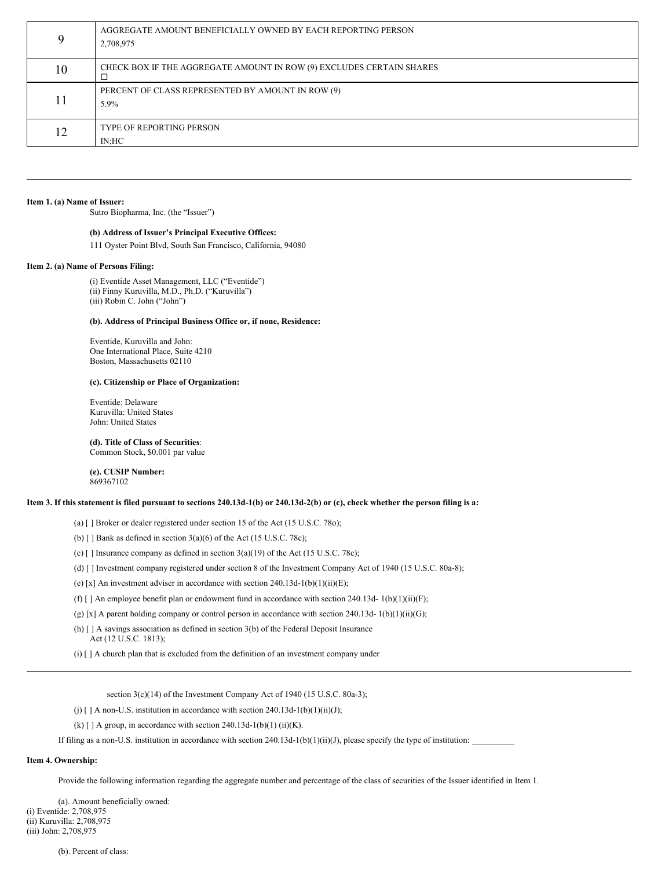| Q  | AGGREGATE AMOUNT BENEFICIALLY OWNED BY EACH REPORTING PERSON<br>2,708,975 |
|----|---------------------------------------------------------------------------|
| 10 | CHECK BOX IF THE AGGREGATE AMOUNT IN ROW (9) EXCLUDES CERTAIN SHARES      |
| 11 | PERCENT OF CLASS REPRESENTED BY AMOUNT IN ROW (9)<br>$5.9\%$              |
| 12 | <b>TYPE OF REPORTING PERSON</b><br>IN:HC                                  |

#### **Item 1. (a) Name of Issuer:**

Sutro Biopharma, Inc. (the "Issuer")

### **(b) Address of Issuer's Principal Executive Offices:**

111 Oyster Point Blvd, South San Francisco, California, 94080

#### **Item 2. (a) Name of Persons Filing:**

(i) Eventide Asset Management, LLC ("Eventide") (ii) Finny Kuruvilla, M.D., Ph.D. ("Kuruvilla") (iii) Robin C. John ("John")

## **(b). Address of Principal Business Office or, if none, Residence:**

Eventide, Kuruvilla and John: One International Place, Suite 4210 Boston, Massachusetts 02110

### **(c). Citizenship or Place of Organization:**

Eventide: Delaware Kuruvilla: United States John: United States

### **(d). Title of Class of Securities**:

Common Stock, \$0.001 par value

#### **(e). CUSIP Number:** 869367102

### Item 3. If this statement is filed pursuant to sections 240.13d-1(b) or 240.13d-2(b) or (c), check whether the person filing is a:

(a) [ ] Broker or dealer registered under section 15 of the Act (15 U.S.C. 78o);

(b)  $[ ]$  Bank as defined in section 3(a)(6) of the Act (15 U.S.C. 78c);

(c) [ ] Insurance company as defined in section 3(a)(19) of the Act (15 U.S.C. 78c);

- (d) [ ] Investment company registered under section 8 of the Investment Company Act of 1940 (15 U.S.C. 80a-8);
- (e) [x] An investment adviser in accordance with section  $240.13d-1(b)(1)(ii)(E)$ ;
- (f) [] An employee benefit plan or endowment fund in accordance with section 240.13d-  $1(b)(1)(ii)(F);$
- (g) [x] A parent holding company or control person in accordance with section 240.13d- 1(b)(1)(ii)(G);
- (h) [ ] A savings association as defined in section 3(b) of the Federal Deposit Insurance Act (12 U.S.C. 1813);
- (i) [ ] A church plan that is excluded from the definition of an investment company under

section 3(c)(14) of the Investment Company Act of 1940 (15 U.S.C. 80a-3);

(j)  $\lceil$  | A non-U.S. institution in accordance with section 240.13d-1(b)(1)(ii)(J);

(k)  $\lceil$  | A group, in accordance with section 240.13d-1(b)(1) (ii)(K).

If filing as a non-U.S. institution in accordance with section 240.13d-1(b)(1)(ii)(J), please specify the type of institution:

### **Item 4. Ownership:**

Provide the following information regarding the aggregate number and percentage of the class of securities of the Issuer identified in Item 1.

(a). Amount beneficially owned: (i) Eventide: 2,708,975 (ii) Kuruvilla: 2,708,975 (iii) John: 2,708,975

(b). Percent of class: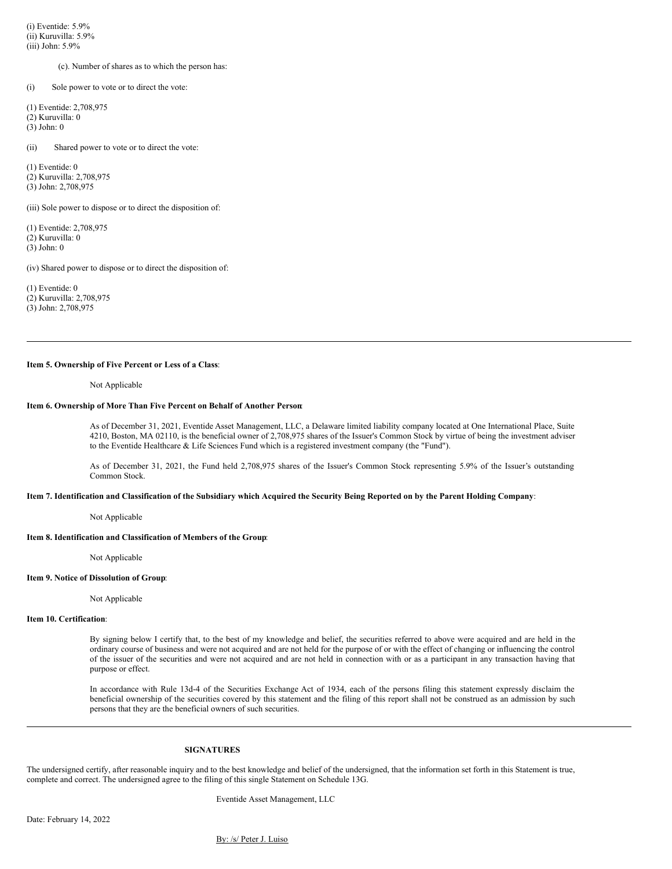(i) Eventide: 5.9% (ii) Kuruvilla: 5.9% (iii) John: 5.9%

(c). Number of shares as to which the person has:

(i) Sole power to vote or to direct the vote:

(1) Eventide: 2,708,975 (2) Kuruvilla: 0 (3) John: 0

(ii) Shared power to vote or to direct the vote:

(1) Eventide: 0 (2) Kuruvilla: 2,708,975 (3) John: 2,708,975

(iii) Sole power to dispose or to direct the disposition of:

(1) Eventide: 2,708,975 (2) Kuruvilla: 0 (3) John: 0

(iv) Shared power to dispose or to direct the disposition of:

(1) Eventide: 0 (2) Kuruvilla: 2,708,975 (3) John: 2,708,975

### **Item 5. Ownership of Five Percent or Less of a Class**:

Not Applicable

### **Item 6. Ownership of More Than Five Percent on Behalf of Another Person**:

As of December 31, 2021, Eventide Asset Management, LLC, a Delaware limited liability company located at One International Place, Suite 4210, Boston, MA 02110, is the beneficial owner of 2,708,975 shares of the Issuer's Common Stock by virtue of being the investment adviser to the Eventide Healthcare & Life Sciences Fund which is a registered investment company (the "Fund").

As of December 31, 2021, the Fund held 2,708,975 shares of the Issuer's Common Stock representing 5.9% of the Issuer's outstanding Common Stock.

#### Item 7. Identification and Classification of the Subsidiary which Acquired the Security Being Reported on by the Parent Holding Company:

Not Applicable

### **Item 8. Identification and Classification of Members of the Group**:

Not Applicable

#### **Item 9. Notice of Dissolution of Group**:

Not Applicable

#### **Item 10. Certification**:

By signing below I certify that, to the best of my knowledge and belief, the securities referred to above were acquired and are held in the ordinary course of business and were not acquired and are not held for the purpose of or with the effect of changing or influencing the control of the issuer of the securities and were not acquired and are not held in connection with or as a participant in any transaction having that purpose or effect.

In accordance with Rule 13d-4 of the Securities Exchange Act of 1934, each of the persons filing this statement expressly disclaim the beneficial ownership of the securities covered by this statement and the filing of this report shall not be construed as an admission by such persons that they are the beneficial owners of such securities.

#### **SIGNATURES**

The undersigned certify, after reasonable inquiry and to the best knowledge and belief of the undersigned, that the information set forth in this Statement is true, complete and correct. The undersigned agree to the filing of this single Statement on Schedule 13G.

Eventide Asset Management, LLC